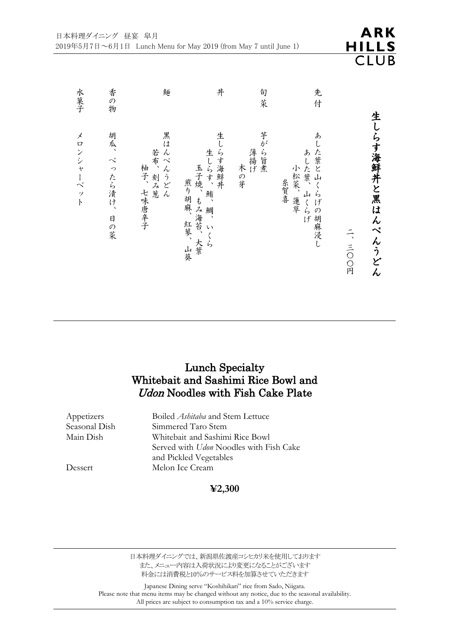| 水菓子       | 香の物               | 麺                                  | 丼                                                        | 旬菜                  | 先<br>付                                       |        |                  |
|-----------|-------------------|------------------------------------|----------------------------------------------------------|---------------------|----------------------------------------------|--------|------------------|
| メロンシャーベット | 胡瓜、べったら漬け、<br>日の菜 | 黒は<br>んぺんうどん<br>若布、刻み葱<br>柚子、七味唐辛子 | 生しらす海鮮丼<br>生しらす、鮪、鯛、いくら<br>玉子焼、もみ海苔、大葉<br>煎り胡麻、紅蓼、<br>山葵 | 芋がら旨煮<br>薄揚げ<br>木の芽 | あした葉と山くらげの胡麻浸し<br>あした葉、山くらげ<br>小松菜、蓮草<br>糸賀喜 | 一、三〇〇円 | 生しらす海鮮丼と黒はんぺんうどん |

## Lunch Specialty Whitebait and Sashimi Rice Bowl and Udon Noodles with Fish Cake Plate

Appetizers Boiled *Ashitaba* and Stem Lettuce<br>Seasonal Dish Simmered Taro Stem Seasonal Dish Simmered Taro Stem<br>Main Dish Whitebait and Sashim Whitebait and Sashimi Rice Bowl Served with *Udon* Noodles with Fish Cake and Pickled Vegetables Dessert Melon Ice Cream

### **¥2,300**

日本料理ダイニングでは、新潟県佐渡産コシヒカリ米を使用しております また、メニュー内容は入荷状況により変更になることがございます 料金には消費税と10%のサービス料を加算させていただきます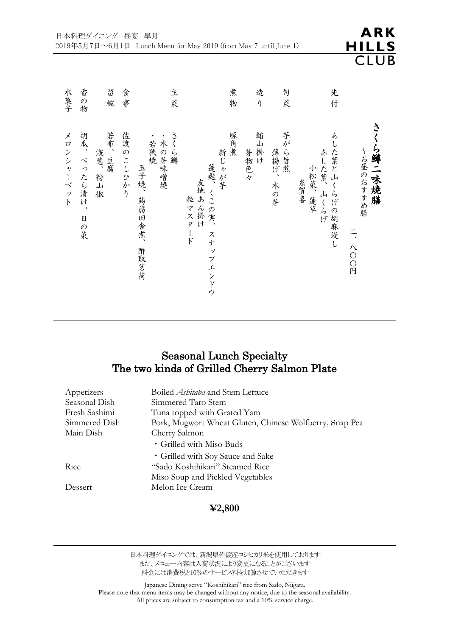|  |  | 香の<br>物<br>胡瓜、べったら漬け、<br>日の菜 | 留<br>椀<br>若布、豆腐<br>浅葱、粉山<br>椒 | 食事<br>佐渡のこしひかり | 主菜<br>さく<br>木の芽味噌焼<br>若狭燒<br>ら鱒<br>玉子焼、<br>蒟蒻田舎煮、<br>酢取茗荷 | 煮<br>物<br>豚角煮<br>新じゃが芋<br>蓬麩、くこの実、<br>友地あん掛け<br>粒マスタ<br>$\frac{1}{5}$<br>スナップエンドウ | 造<br>$\eta$<br>鮪山掛け<br>芽物色々 | 旬<br>菜<br>芋がら旨煮<br>薄揚げ、<br>木の芽 | 先<br>付<br>あした葉と山くらげの胡麻浸し<br>あした葉、山くらげ<br>小松菜、蓮草<br>糸賀喜 | さい<br>ら鱒二味焼膳<br>〜お昼のおすすめ膳<br>二、八〇〇円 |
|--|--|------------------------------|-------------------------------|----------------|-----------------------------------------------------------|-----------------------------------------------------------------------------------|-----------------------------|--------------------------------|--------------------------------------------------------|-------------------------------------|
|--|--|------------------------------|-------------------------------|----------------|-----------------------------------------------------------|-----------------------------------------------------------------------------------|-----------------------------|--------------------------------|--------------------------------------------------------|-------------------------------------|

## Seasonal Lunch Specialty The two kinds of Grilled Cherry Salmon Plate

| Appetizers    | Boiled <i>Ashitaba</i> and Stem Lettuce                 |
|---------------|---------------------------------------------------------|
| Seasonal Dish | Simmered Taro Stem                                      |
| Fresh Sashimi | Tuna topped with Grated Yam                             |
| Simmered Dish | Pork, Mugwort Wheat Gluten, Chinese Wolfberry, Snap Pea |
| Main Dish     | Cherry Salmon                                           |
|               | • Grilled with Miso Buds                                |
|               | • Grilled with Soy Sauce and Sake                       |
| Rice          | "Sado Koshihikari" Steamed Rice                         |
|               | Miso Soup and Pickled Vegetables                        |
| Dessert       | Melon Ice Cream                                         |
|               |                                                         |

#### **¥2,800**

日本料理ダイニングでは、新潟県佐渡産コシヒカリ米を使用しております また、メニュー内容は入荷状況により変更になることがございます 料金には消費税と10%のサービス料を加算させていただきます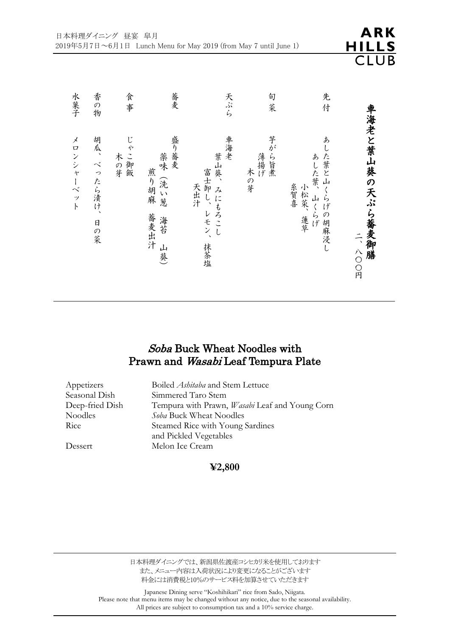| 水菓子       | 香の物                        | 食事                                 | 蕎麦                                             | 天ぷら                                                  | 旬<br>菜              | 先<br>付                                                                  |                           |
|-----------|----------------------------|------------------------------------|------------------------------------------------|------------------------------------------------------|---------------------|-------------------------------------------------------------------------|---------------------------|
| メロンシャーベット | 胡瓜、べったら漬け、<br>$\Box$<br>の菜 | じ<br>$\tilde{\cdot}$<br>木の芽<br>一御飯 | 盛り蕎麦<br>薬味<br>煎り胡麻<br>(洗い葱<br>蕎麦出汁<br>海苔<br>山葵 | 車海老<br>葉山葵、<br>富士卸し、<br>天出汁<br>みにもろこし<br>レモン、<br>抹茶塩 | 芋がら旨煮<br>薄揚げ<br>木の芽 | あ<br>した葉と山<br>あした葉、<br>糸賀喜<br>小松菜、<br>ふげ<br>부<br>・らげ<br>の<br>蓮草<br>胡麻浸し | 車海老と葉山葵の天ぷら蕎麦御膳<br>二、八〇〇円 |

**ARK** 

**HILLS CLUB** 

## Soba Buck Wheat Noodles with Prawn and Wasabi Leaf Tempura Plate

| Appetizers      | Boiled <i>Ashitaba</i> and Stem Lettuce               |
|-----------------|-------------------------------------------------------|
| Seasonal Dish   | Simmered Taro Stem                                    |
| Deep-fried Dish | Tempura with Prawn, <i>Wasabi</i> Leaf and Young Corn |
| <b>Noodles</b>  | Soba Buck Wheat Noodles                               |
| Rice            | Steamed Rice with Young Sardines                      |
|                 | and Pickled Vegetables                                |
| Dessert         | Melon Ice Cream                                       |
|                 |                                                       |

### **¥2,800**

日本料理ダイニングでは、新潟県佐渡産コシヒカリ米を使用しております また、メニュー内容は入荷状況により変更になることがございます 料金には消費税と10%のサービス料を加算させていただきます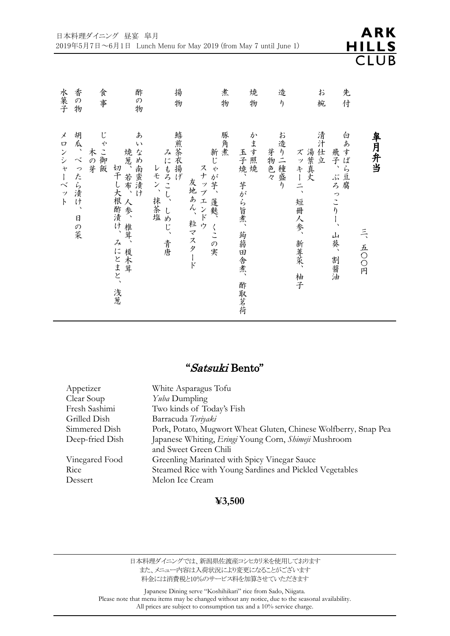| 水菓子                                        | 香の<br>物               | 食事           | 酢<br>$\mathcal{O}$<br>物                                      | 揚<br>物                                     |                         | 煮<br>物                   | 焼<br>物                            | 造<br>$\eta$                         | お<br>椀                                        | 先<br>付                                      |                |
|--------------------------------------------|-----------------------|--------------|--------------------------------------------------------------|--------------------------------------------|-------------------------|--------------------------|-----------------------------------|-------------------------------------|-----------------------------------------------|---------------------------------------------|----------------|
| メ<br>ロンシャーベ<br>$\dot{y}$<br>$\overline{b}$ | 胡瓜、べ<br>ったら漬け、<br>日の菜 | じゃこ御飯<br>木の芽 | ぁ<br>い<br>なめ南蛮漬け<br>焼葱、若布、人参、椎茸、榎木茸<br>切干し大根酢漬け、みにとまと、<br>浅葱 | 鱚煎茶衣揚げ<br>みにもろこし、<br>レモン、抹茶塩<br>しめじ、<br>青唐 | スナップエンドウ<br>友地あん、粒マスタード | 豚角煮<br>新じゃが芋、<br>蓬麩、くこの実 | かます照焼<br>玉子焼、芋がら旨煮、蒟蒻田舎煮、<br>酢取茗荷 | お造り二種盛<br>芽物色々<br>$\overline{\eta}$ | 清汁仕立<br>湯葉真丈<br>ズッキーニ、<br>短冊人参、<br>新蓴菜、<br>柚子 | 白あすぱら豆腐<br>飛子、<br>ぶろ<br>っこりし、<br>山葵、<br>割醤油 | 皐月弁当<br>三、五〇〇円 |

### "Satsuki Bento"

| Appetizer       | White Asparagus Tofu                                            |
|-----------------|-----------------------------------------------------------------|
| Clear Soup      | <i>Yuba</i> Dumpling                                            |
| Fresh Sashimi   | Two kinds of Today's Fish                                       |
| Grilled Dish    | Barracuda Teriyaki                                              |
| Simmered Dish   | Pork, Potato, Mugwort Wheat Gluten, Chinese Wolfberry, Snap Pea |
| Deep-fried Dish | Japanese Whiting, Eringi Young Corn, Shimeji Mushroom           |
|                 | and Sweet Green Chili                                           |
| Vinegared Food  | Greenling Marinated with Spicy Vinegar Sauce                    |
| Rice            | Steamed Rice with Young Sardines and Pickled Vegetables         |
| Dessert         | Melon Ice Cream                                                 |
|                 |                                                                 |

#### **¥3,500**

日本料理ダイニングでは、新潟県佐渡産コシヒカリ米を使用しております また、メニュー内容は入荷状況により変更になることがございます 料金には消費税と10%のサービス料を加算させていただきます

Japanese Dining serve "Koshihikari" rice from Sado, Niigata. Please note that menu items may be changed without any notice, due to the seasonal availability. All prices are subject to consumption tax and a 10% service charge.

**ARK**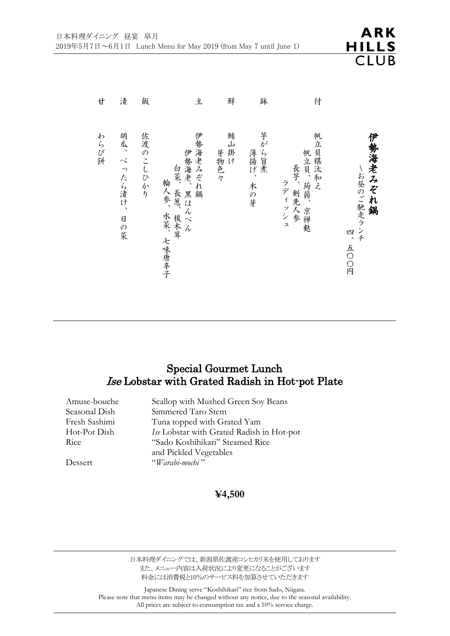| 廿    | 漬                 | 飯        | 主                                                   | 鮮            | 鉢                    | 付                                              |                                     |
|------|-------------------|----------|-----------------------------------------------------|--------------|----------------------|------------------------------------------------|-------------------------------------|
| わらび餅 | 胡瓜、べったら漬け、<br>日の菜 | 佐渡のこしひかり | 伊勢海老みぞれ鍋<br>伊勢海老、黒はんぺん<br>白菜、長葱、榎木茸<br>輪人参、水菜、七味唐辛子 | 鮪山掛け<br>芽物色々 | 芋がら旨煮<br>薄揚げ、<br>木の芽 | 帆立貝糂汰和え<br>帆立貝、蒟蒻、<br>長芋、剣先人参<br>ラディッシュ<br>京禅麩 | 伊勢海老みぞれ鍋<br>~お昼のご馳走ランチ<br>吗<br>五〇〇円 |

### Special Gourmet Lunch Ise Lobstar with Grated Radish in Hot-pot Plate

Amuse-bouche Scallop with Mushed Green Soy Beans Seasonal Dish Simmered Taro Stem Fresh Sashimi Tuna topped with Grated Yam Hot-Pot Dish *Ise* Lobstar with Grated Radish in Hot-pot Rice "Sado Koshihikari" Steamed Rice and Pickled Vegetables Dessert "*Warabi-mochi* "

#### **¥4,500**

日本料理ダイニングでは、新潟県佐渡産コシヒカリ米を使用しております また、メニュー内容は入荷状況により変更になることがございます 料金には消費税と10%のサービス料を加算させていただきます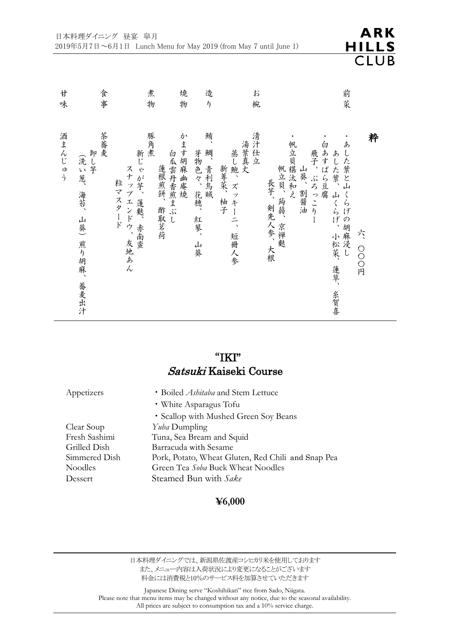

| 廿<br>味 | 食事                                                 |                                         | 煮<br>物                        | 焼<br>造<br>$\eta$<br>物                     | お<br>椀                                   |                                                                      | 前菜                                                                               |
|--------|----------------------------------------------------|-----------------------------------------|-------------------------------|-------------------------------------------|------------------------------------------|----------------------------------------------------------------------|----------------------------------------------------------------------------------|
| 酒まんじゅう | 茶蕎麦<br>卸し芋<br>(洗い葱、<br>海苔、<br>山葵)<br>煎り胡麻、<br>蕎麦出汁 | 新じゃが芋、蓬麩、赤南蛮<br>スナップエンドウ、友地あん<br>粒マスタード | 豚角煮<br>白瓜雲丹香煎まぶし<br>蓮根煎餅、酢取茗荷 | 鮪、<br>かます胡麻幽庵焼<br>鯛、青利烏賊<br>芽物色々、花穂、紅蓼、山葵 | 清汁仕立<br>湯葉真丈<br>蒸し鮑、ズッキーニ、短冊人参<br>新蓴菜、柚子 | 帆立貝糂汰和え<br>白あすぱら豆腐<br>飛子、ぶろっこり<br>帆立貝、蒟蒻、京禅麩<br>山葵、割醤油<br>長芋、剣先人参、大根 | 粋<br>あした葉と山くらげの胡麻浸し<br>あした葉、山<br>くらげ、<br>た<br>小松菜、蓮草、<br>O<br>O<br>O<br>円<br>糸賀喜 |

# "IKI" Satsuki Kaiseki Course

| Appetizers    | • Boiled <i>Ashitaba</i> and Stem Lettuce          |
|---------------|----------------------------------------------------|
|               | • White Asparagus Tofu                             |
|               | • Scallop with Mushed Green Soy Beans              |
| Clear Soup    | <i>Yuba</i> Dumpling                               |
| Fresh Sashimi | Tuna, Sea Bream and Squid                          |
| Grilled Dish  | Barracuda with Sesame                              |
| Simmered Dish | Pork, Potato, Wheat Gluten, Red Chili and Snap Pea |
| Noodles       | Green Tea Soba Buck Wheat Noodles                  |
| Dessert       | Steamed Bun with Sake                              |
|               |                                                    |

### **¥6,000**

日本料理ダイニングでは、新潟県佐渡産コシヒカリ米を使用しております また、メニュー内容は入荷状況により変更になることがございます 料金には消費税と10%のサービス料を加算させていただきます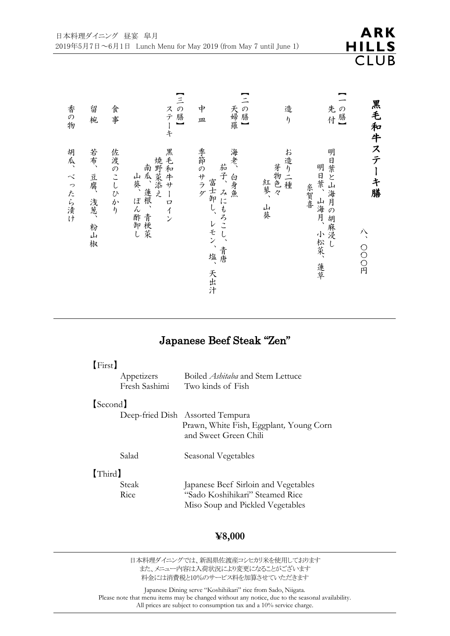| ARK   |  |
|-------|--|
| HILLS |  |
| CLUB  |  |

|                      | 黒毛和牛ステーキ膳<br>八、〇〇〇円                           |
|----------------------|-----------------------------------------------|
| の膳】<br>先付            | 明日葉と山海月の胡麻浸し<br>明日葉、山海月、<br>糸賀喜<br>小松菜、<br>蓮草 |
| 造<br>$\eta$          | お造り二種<br>芽物色々<br>紅蓼、<br>山葵                    |
| $\Xi$<br>一の膳】<br>天婦羅 | 海老、<br>茄子、<br>白身魚<br>みにもろこし、<br>青唐            |
| 中<br>皿               | 季節のサラダ<br>富士卸し、<br>レモン、<br>塩、<br>天出汁          |
| 【三の膳】<br>ステーキ        | 黒毛和牛サーロイン<br>焼野菜添え<br>南瓜、蓮根、青梗菜<br>山葵、ぽん酢卸し   |
| 食事                   | 佐渡のこしひかり                                      |
| 留<br>椀               | 若布、<br>豆腐、<br>浅葱、<br>粉山椒                      |
| 香の物                  | 胡瓜、<br>べったら漬け                                 |

# Japanese Beef Steak "Zen"

#### 【First】

| Appetizers    | Boiled <i>Ashitaba</i> and Stem Lettuce |
|---------------|-----------------------------------------|
| Fresh Sashimi | Two kinds of Fish                       |

#### 【Second】

|       | Deep-fried Dish Assorted Tempura                                 |
|-------|------------------------------------------------------------------|
|       | Prawn, White Fish, Eggplant, Young Corn<br>and Sweet Green Chili |
| Salad | Seasonal Vegetables                                              |

### 【Third】

Steak Japanese Beef Sirloin and Vegetables Rice "Sado Koshihikari" Steamed Rice Miso Soup and Pickled Vegetables

#### **¥8,000**

日本料理ダイニングでは、新潟県佐渡産コシヒカリ米を使用しております また、メニュー内容は入荷状況により変更になることがございます 料金には消費税と10%のサービス料を加算させていただきます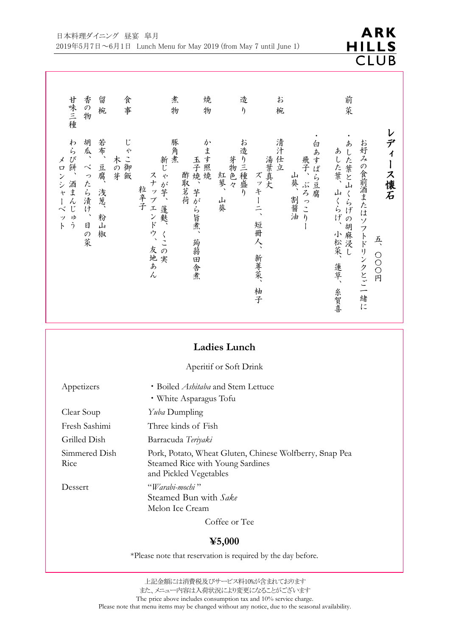|              | <b>ARK</b> |  |
|--------------|------------|--|
| <b>HILLS</b> |            |  |
|              | CLUB       |  |

| 甘味三種                                      | 香の物                           | 留<br>椀                       | 食<br>事       | 煮<br>物                                                       | 焼<br>物                               | 造<br>$\eta$                  | お<br>椀                                                      |                                                       | 前菜                                                                                   |                                            |
|-------------------------------------------|-------------------------------|------------------------------|--------------|--------------------------------------------------------------|--------------------------------------|------------------------------|-------------------------------------------------------------|-------------------------------------------------------|--------------------------------------------------------------------------------------|--------------------------------------------|
| わらび餅、<br>メロンシャー<br>酒まんじゅう<br>$\sim$<br>ット | 胡瓜、べったら漬け、<br>$\boxdot$<br>の菜 | 若布、<br>豆腐、<br>浅葱、<br>粉山<br>椒 | じゃこ御飯<br>木の芽 | 豚角煮<br>新じゃ<br>スナップエンドウ、<br>が芋、<br>粒辛子<br>蓬麩、<br>くこの実<br>友地あん | かます照焼<br>玉子焼、芋がら旨煮、<br>酢取茗荷<br>蒟蒻田舎煮 | お造り三種盛り<br>芽物色々<br>紅蓼、<br>山葵 | 清汁仕立<br>湯葉真丈<br>ズッキー<br>$\frac{1}{2}$<br>短冊人、<br>新蓴菜、<br>柚子 | 白あすぱら豆腐<br>飛子<br>$\lambda$<br>山葵、<br>ぶろ<br>割醤油<br>っこり | お好みの食前酒またはソフトドリンクとご一緒に<br>ぁ<br>あした葉、<br>した葉と山くらげの胡麻浸し<br>山くらげ、<br>小松菜、<br>蓮草、<br>糸賀喜 | ディ<br>ース懐石<br>$\frac{1}{\sqrt{2}}$<br>OOO円 |

## **Ladies Lunch**

#### Aperitif or Soft Drink

| Appetizers            | • Boiled <i>Ashitaba</i> and Stem Lettuce                                                                             |
|-----------------------|-----------------------------------------------------------------------------------------------------------------------|
|                       | • White Asparagus Tofu                                                                                                |
| Clear Soup            | <i>Yuba</i> Dumpling                                                                                                  |
| Fresh Sashimi         | Three kinds of Fish                                                                                                   |
| Grilled Dish          | Barracuda Teriyaki                                                                                                    |
| Simmered Dish<br>Rice | Pork, Potato, Wheat Gluten, Chinese Wolfberry, Snap Pea<br>Steamed Rice with Young Sardines<br>and Pickled Vegetables |
| Dessert               | "Warabi-mochi"<br>Steamed Bun with Sake<br>Melon Ice Cream                                                            |
|                       |                                                                                                                       |

Coffee or Tee

#### **¥5,000**

\*Please note that reservation is required by the day before.